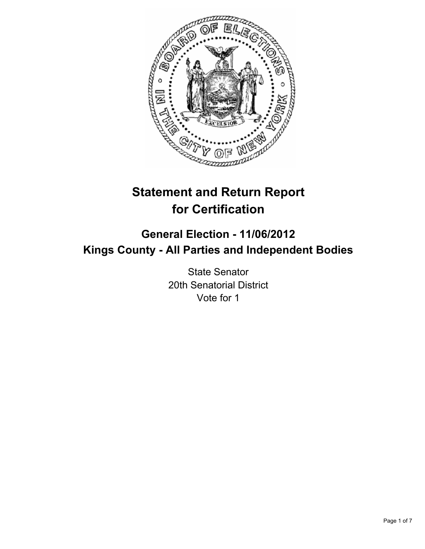

# **Statement and Return Report for Certification**

## **General Election - 11/06/2012 Kings County - All Parties and Independent Bodies**

State Senator 20th Senatorial District Vote for 1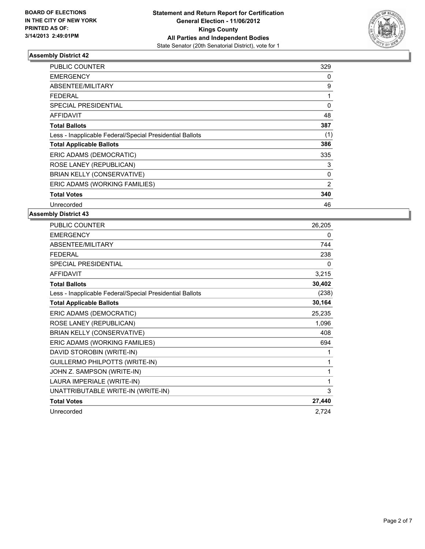

| <b>PUBLIC COUNTER</b>                                    | 329      |
|----------------------------------------------------------|----------|
| <b>EMERGENCY</b>                                         | 0        |
| <b>ABSENTEE/MILITARY</b>                                 | 9        |
| <b>FEDERAL</b>                                           | 1        |
| <b>SPECIAL PRESIDENTIAL</b>                              | $\Omega$ |
| <b>AFFIDAVIT</b>                                         | 48       |
| <b>Total Ballots</b>                                     | 387      |
| Less - Inapplicable Federal/Special Presidential Ballots | (1)      |
| <b>Total Applicable Ballots</b>                          | 386      |
| ERIC ADAMS (DEMOCRATIC)                                  | 335      |
| ROSE LANEY (REPUBLICAN)                                  | 3        |
| <b>BRIAN KELLY (CONSERVATIVE)</b>                        | 0        |
| ERIC ADAMS (WORKING FAMILIES)                            | 2        |
| <b>Total Votes</b>                                       | 340      |
| Unrecorded                                               | 46       |

| PUBLIC COUNTER                                           | 26,205 |
|----------------------------------------------------------|--------|
| <b>EMERGENCY</b>                                         | 0      |
| ABSENTEE/MILITARY                                        | 744    |
| <b>FFDFRAL</b>                                           | 238    |
| <b>SPECIAL PRESIDENTIAL</b>                              | 0      |
| <b>AFFIDAVIT</b>                                         | 3,215  |
| <b>Total Ballots</b>                                     | 30,402 |
| Less - Inapplicable Federal/Special Presidential Ballots | (238)  |
| <b>Total Applicable Ballots</b>                          | 30,164 |
| ERIC ADAMS (DEMOCRATIC)                                  | 25,235 |
| ROSE LANEY (REPUBLICAN)                                  | 1,096  |
| <b>BRIAN KELLY (CONSERVATIVE)</b>                        | 408    |
| ERIC ADAMS (WORKING FAMILIES)                            | 694    |
| DAVID STOROBIN (WRITE-IN)                                | 1      |
| GUILLERMO PHILPOTTS (WRITE-IN)                           | 1      |
| JOHN Z. SAMPSON (WRITE-IN)                               | 1      |
| LAURA IMPERIALE (WRITE-IN)                               | 1      |
| UNATTRIBUTABLE WRITE-IN (WRITE-IN)                       | 3      |
| <b>Total Votes</b>                                       | 27,440 |
| Unrecorded                                               | 2,724  |
|                                                          |        |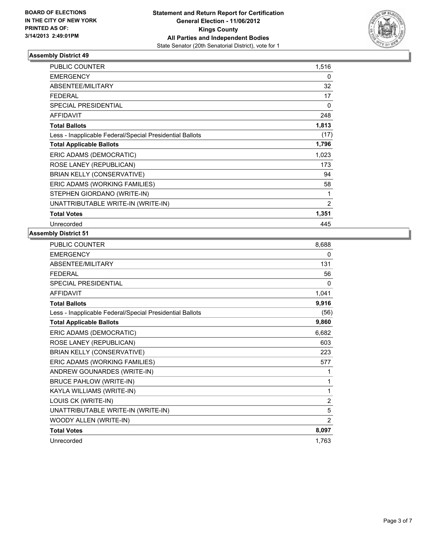

| <b>PUBLIC COUNTER</b>                                    | 1,516 |
|----------------------------------------------------------|-------|
| <b>EMERGENCY</b>                                         | 0     |
| ABSENTEE/MILITARY                                        | 32    |
| <b>FEDERAL</b>                                           | 17    |
| <b>SPECIAL PRESIDENTIAL</b>                              | 0     |
| <b>AFFIDAVIT</b>                                         | 248   |
| <b>Total Ballots</b>                                     | 1,813 |
| Less - Inapplicable Federal/Special Presidential Ballots | (17)  |
| <b>Total Applicable Ballots</b>                          | 1,796 |
| ERIC ADAMS (DEMOCRATIC)                                  | 1,023 |
| ROSE LANEY (REPUBLICAN)                                  | 173   |
| <b>BRIAN KELLY (CONSERVATIVE)</b>                        | 94    |
| ERIC ADAMS (WORKING FAMILIES)                            | 58    |
| STEPHEN GIORDANO (WRITE-IN)                              | 1     |
| UNATTRIBUTABLE WRITE-IN (WRITE-IN)                       | 2     |
| <b>Total Votes</b>                                       | 1,351 |
| Unrecorded                                               | 445   |

| PUBLIC COUNTER                                           | 8,688          |
|----------------------------------------------------------|----------------|
| <b>EMERGENCY</b>                                         | 0              |
| ABSENTEE/MILITARY                                        | 131            |
| <b>FEDERAL</b>                                           | 56             |
| <b>SPECIAL PRESIDENTIAL</b>                              | 0              |
| <b>AFFIDAVIT</b>                                         | 1,041          |
| <b>Total Ballots</b>                                     | 9,916          |
| Less - Inapplicable Federal/Special Presidential Ballots | (56)           |
| <b>Total Applicable Ballots</b>                          | 9,860          |
| ERIC ADAMS (DEMOCRATIC)                                  | 6,682          |
| ROSE LANEY (REPUBLICAN)                                  | 603            |
| <b>BRIAN KELLY (CONSERVATIVE)</b>                        | 223            |
| ERIC ADAMS (WORKING FAMILIES)                            | 577            |
| ANDREW GOUNARDES (WRITE-IN)                              | 1              |
| <b>BRUCE PAHLOW (WRITE-IN)</b>                           | 1              |
| KAYLA WILLIAMS (WRITE-IN)                                | 1              |
| LOUIS CK (WRITE-IN)                                      | $\overline{2}$ |
| UNATTRIBUTABLE WRITE-IN (WRITE-IN)                       | 5              |
| WOODY ALLEN (WRITE-IN)                                   | $\overline{2}$ |
| <b>Total Votes</b>                                       | 8,097          |
| Unrecorded                                               | 1,763          |
|                                                          |                |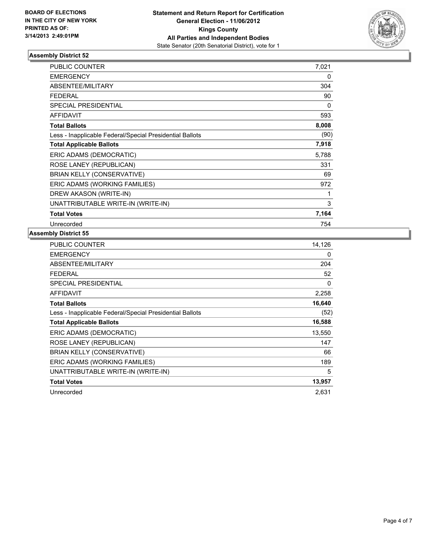

| <b>PUBLIC COUNTER</b>                                    | 7,021 |
|----------------------------------------------------------|-------|
| <b>EMERGENCY</b>                                         | 0     |
| ABSENTEE/MILITARY                                        | 304   |
| <b>FEDERAL</b>                                           | 90    |
| SPECIAL PRESIDENTIAL                                     | 0     |
| <b>AFFIDAVIT</b>                                         | 593   |
| <b>Total Ballots</b>                                     | 8,008 |
| Less - Inapplicable Federal/Special Presidential Ballots | (90)  |
| <b>Total Applicable Ballots</b>                          | 7,918 |
| ERIC ADAMS (DEMOCRATIC)                                  | 5,788 |
| ROSE LANEY (REPUBLICAN)                                  | 331   |
| <b>BRIAN KELLY (CONSERVATIVE)</b>                        | 69    |
| ERIC ADAMS (WORKING FAMILIES)                            | 972   |
| DREW AKASON (WRITE-IN)                                   | 1     |
| UNATTRIBUTABLE WRITE-IN (WRITE-IN)                       | 3     |
| <b>Total Votes</b>                                       | 7,164 |
| Unrecorded                                               | 754   |

| PUBLIC COUNTER                                           | 14,126 |
|----------------------------------------------------------|--------|
| <b>EMERGENCY</b>                                         | 0      |
| <b>ABSENTEE/MILITARY</b>                                 | 204    |
| <b>FEDERAL</b>                                           | 52     |
| SPECIAL PRESIDENTIAL                                     | 0      |
| AFFIDAVIT                                                | 2,258  |
| <b>Total Ballots</b>                                     | 16,640 |
| Less - Inapplicable Federal/Special Presidential Ballots | (52)   |
| <b>Total Applicable Ballots</b>                          | 16,588 |
| ERIC ADAMS (DEMOCRATIC)                                  | 13,550 |
| ROSE LANEY (REPUBLICAN)                                  | 147    |
| <b>BRIAN KELLY (CONSERVATIVE)</b>                        | 66     |
| ERIC ADAMS (WORKING FAMILIES)                            | 189    |
| UNATTRIBUTABLE WRITE-IN (WRITE-IN)                       | 5      |
| <b>Total Votes</b>                                       | 13,957 |
| Unrecorded                                               | 2,631  |
|                                                          |        |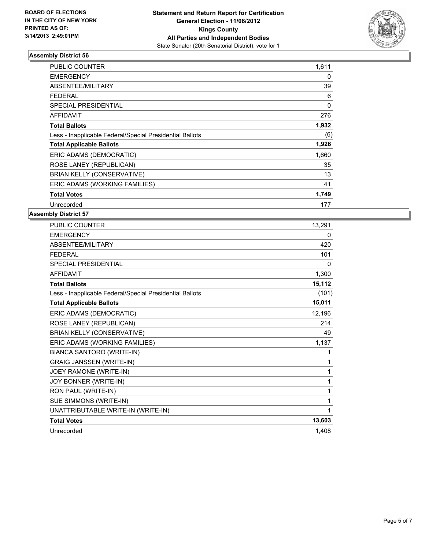

| <b>PUBLIC COUNTER</b>                                    | 1,611 |
|----------------------------------------------------------|-------|
| <b>EMERGENCY</b>                                         | 0     |
| <b>ABSENTEE/MILITARY</b>                                 | 39    |
| <b>FEDERAL</b>                                           | 6     |
| <b>SPECIAL PRESIDENTIAL</b>                              | 0     |
| <b>AFFIDAVIT</b>                                         | 276   |
| <b>Total Ballots</b>                                     | 1,932 |
| Less - Inapplicable Federal/Special Presidential Ballots | (6)   |
| <b>Total Applicable Ballots</b>                          | 1,926 |
| ERIC ADAMS (DEMOCRATIC)                                  | 1,660 |
| ROSE LANEY (REPUBLICAN)                                  | 35    |
| BRIAN KELLY (CONSERVATIVE)                               | 13    |
| ERIC ADAMS (WORKING FAMILIES)                            | 41    |
| <b>Total Votes</b>                                       | 1,749 |
| Unrecorded                                               | 177   |

| PUBLIC COUNTER                                           | 13,291 |
|----------------------------------------------------------|--------|
| <b>EMERGENCY</b>                                         | 0      |
| ABSENTEE/MILITARY                                        | 420    |
| <b>FEDERAL</b>                                           | 101    |
| <b>SPECIAL PRESIDENTIAL</b>                              | 0      |
| <b>AFFIDAVIT</b>                                         | 1,300  |
| <b>Total Ballots</b>                                     | 15,112 |
| Less - Inapplicable Federal/Special Presidential Ballots | (101)  |
| <b>Total Applicable Ballots</b>                          | 15,011 |
| ERIC ADAMS (DEMOCRATIC)                                  | 12,196 |
| ROSE LANEY (REPUBLICAN)                                  | 214    |
| <b>BRIAN KELLY (CONSERVATIVE)</b>                        | 49     |
| ERIC ADAMS (WORKING FAMILIES)                            | 1,137  |
| <b>BIANCA SANTORO (WRITE-IN)</b>                         | 1      |
| <b>GRAIG JANSSEN (WRITE-IN)</b>                          | 1      |
| JOEY RAMONE (WRITE-IN)                                   | 1      |
| JOY BONNER (WRITE-IN)                                    | 1      |
| RON PAUL (WRITE-IN)                                      | 1      |
| SUE SIMMONS (WRITE-IN)                                   | 1      |
| UNATTRIBUTABLE WRITE-IN (WRITE-IN)                       | 1      |
| <b>Total Votes</b>                                       | 13,603 |
| Unrecorded                                               | 1,408  |
|                                                          |        |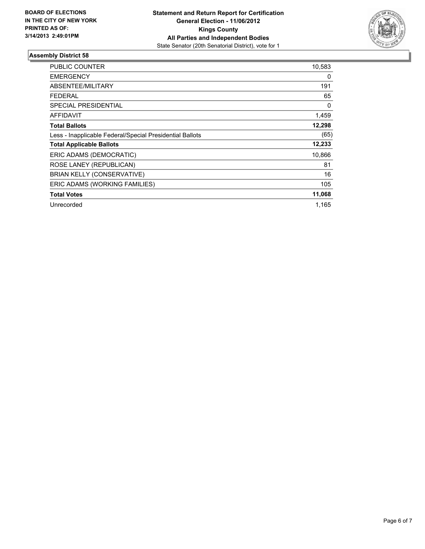

| <b>PUBLIC COUNTER</b>                                    | 10,583 |
|----------------------------------------------------------|--------|
| <b>EMERGENCY</b>                                         | 0      |
| ABSENTEE/MILITARY                                        | 191    |
| <b>FEDERAL</b>                                           | 65     |
| SPECIAL PRESIDENTIAL                                     | 0      |
| <b>AFFIDAVIT</b>                                         | 1,459  |
| <b>Total Ballots</b>                                     | 12,298 |
| Less - Inapplicable Federal/Special Presidential Ballots | (65)   |
| <b>Total Applicable Ballots</b>                          | 12,233 |
| ERIC ADAMS (DEMOCRATIC)                                  | 10,866 |
| ROSE LANEY (REPUBLICAN)                                  | 81     |
| <b>BRIAN KELLY (CONSERVATIVE)</b>                        | 16     |
| ERIC ADAMS (WORKING FAMILIES)                            | 105    |
| <b>Total Votes</b>                                       | 11,068 |
| Unrecorded                                               | 1,165  |